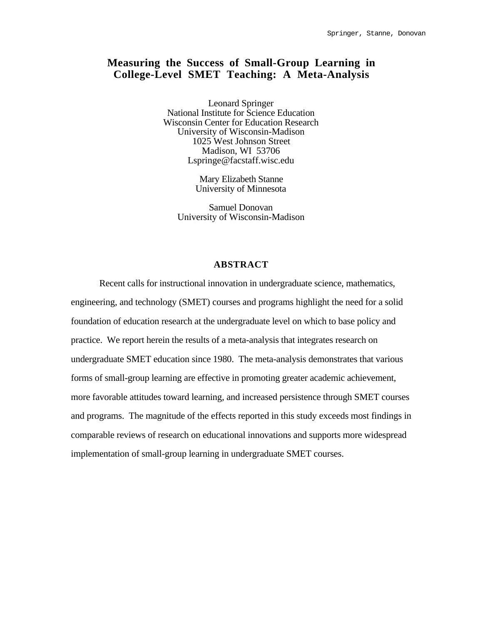# **Measuring the Success of Small-Group Learning in College-Level SMET Teaching: A Meta-Analysis**

Leonard Springer National Institute for Science Education Wisconsin Center for Education Research University of Wisconsin-Madison 1025 West Johnson Street Madison, WI 53706 Lspringe@facstaff.wisc.edu

> Mary Elizabeth Stanne University of Minnesota

Samuel Donovan University of Wisconsin-Madison

## **ABSTRACT**

Recent calls for instructional innovation in undergraduate science, mathematics, engineering, and technology (SMET) courses and programs highlight the need for a solid foundation of education research at the undergraduate level on which to base policy and practice. We report herein the results of a meta-analysis that integrates research on undergraduate SMET education since 1980. The meta-analysis demonstrates that various forms of small-group learning are effective in promoting greater academic achievement, more favorable attitudes toward learning, and increased persistence through SMET courses and programs. The magnitude of the effects reported in this study exceeds most findings in comparable reviews of research on educational innovations and supports more widespread implementation of small-group learning in undergraduate SMET courses.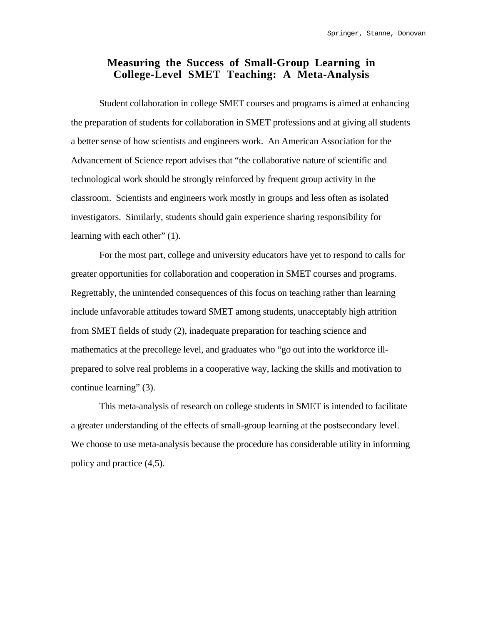# **Measuring the Success of Small-Group Learning in College-Level SMET Teaching: A Meta-Analysis**

Student collaboration in college SMET courses and programs is aimed at enhancing the preparation of students for collaboration in SMET professions and at giving all students a better sense of how scientists and engineers work. An American Association for the Advancement of Science report advises that "the collaborative nature of scientific and technological work should be strongly reinforced by frequent group activity in the classroom. Scientists and engineers work mostly in groups and less often as isolated investigators. Similarly, students should gain experience sharing responsibility for learning with each other" (1).

For the most part, college and university educators have yet to respond to calls for greater opportunities for collaboration and cooperation in SMET courses and programs. Regrettably, the unintended consequences of this focus on teaching rather than learning include unfavorable attitudes toward SMET among students, unacceptably high attrition from SMET fields of study (2), inadequate preparation for teaching science and mathematics at the precollege level, and graduates who "go out into the workforce illprepared to solve real problems in a cooperative way, lacking the skills and motivation to continue learning" (3).

This meta-analysis of research on college students in SMET is intended to facilitate a greater understanding of the effects of small-group learning at the postsecondary level. We choose to use meta-analysis because the procedure has considerable utility in informing policy and practice (4,5).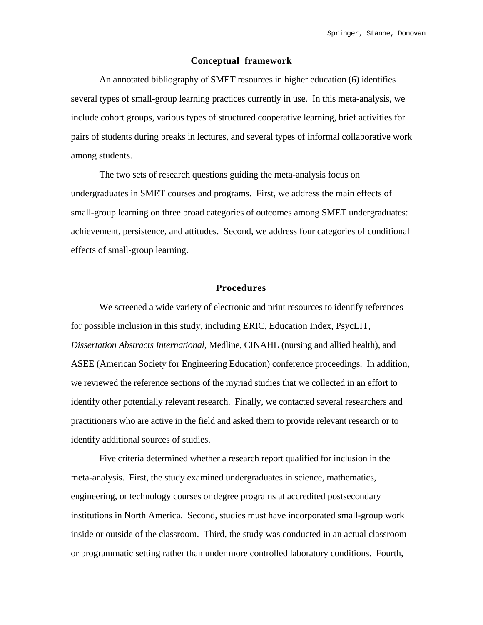### **Conceptual framework**

An annotated bibliography of SMET resources in higher education (6) identifies several types of small-group learning practices currently in use. In this meta-analysis, we include cohort groups, various types of structured cooperative learning, brief activities for pairs of students during breaks in lectures, and several types of informal collaborative work among students.

The two sets of research questions guiding the meta-analysis focus on undergraduates in SMET courses and programs. First, we address the main effects of small-group learning on three broad categories of outcomes among SMET undergraduates: achievement, persistence, and attitudes. Second, we address four categories of conditional effects of small-group learning.

# **Procedures**

We screened a wide variety of electronic and print resources to identify references for possible inclusion in this study, including ERIC, Education Index, PsycLIT, *Dissertation Abstracts International*, Medline, CINAHL (nursing and allied health), and ASEE (American Society for Engineering Education) conference proceedings. In addition, we reviewed the reference sections of the myriad studies that we collected in an effort to identify other potentially relevant research. Finally, we contacted several researchers and practitioners who are active in the field and asked them to provide relevant research or to identify additional sources of studies.

Five criteria determined whether a research report qualified for inclusion in the meta-analysis. First, the study examined undergraduates in science, mathematics, engineering, or technology courses or degree programs at accredited postsecondary institutions in North America. Second, studies must have incorporated small-group work inside or outside of the classroom. Third, the study was conducted in an actual classroom or programmatic setting rather than under more controlled laboratory conditions. Fourth,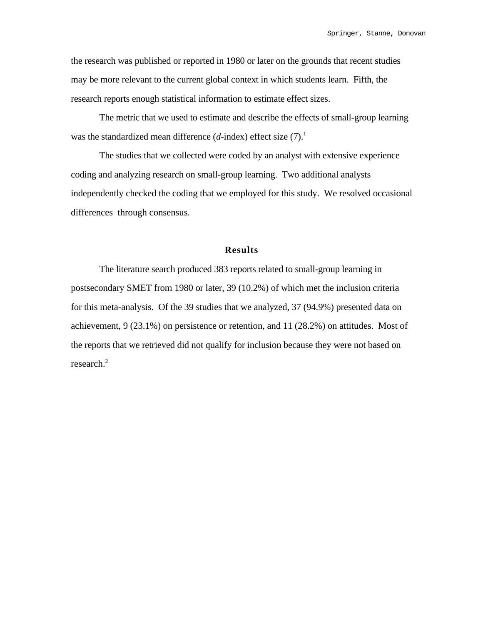the research was published or reported in 1980 or later on the grounds that recent studies may be more relevant to the current global context in which students learn. Fifth, the research reports enough statistical information to estimate effect sizes.

The metric that we used to estimate and describe the effects of small-group learning was the standardized mean difference  $(d\textrm{-index})$  effect size  $(7)$ .<sup>1</sup>

The studies that we collected were coded by an analyst with extensive experience coding and analyzing research on small-group learning. Two additional analysts independently checked the coding that we employed for this study. We resolved occasional differences through consensus.

#### **Results**

The literature search produced 383 reports related to small-group learning in postsecondary SMET from 1980 or later, 39 (10.2%) of which met the inclusion criteria for this meta-analysis. Of the 39 studies that we analyzed, 37 (94.9%) presented data on achievement, 9 (23.1%) on persistence or retention, and 11 (28.2%) on attitudes. Most of the reports that we retrieved did not qualify for inclusion because they were not based on research. $2$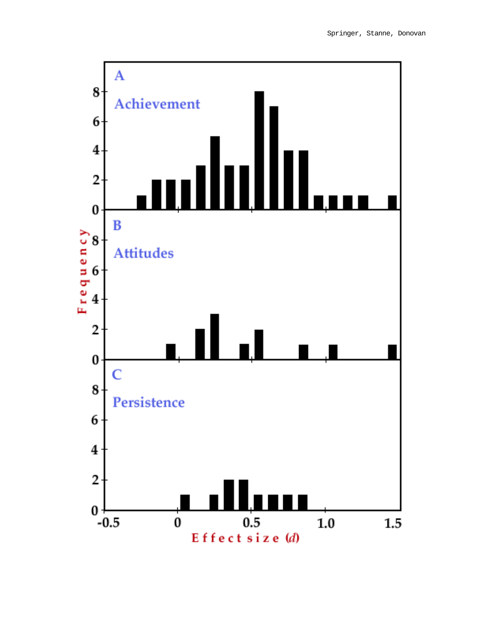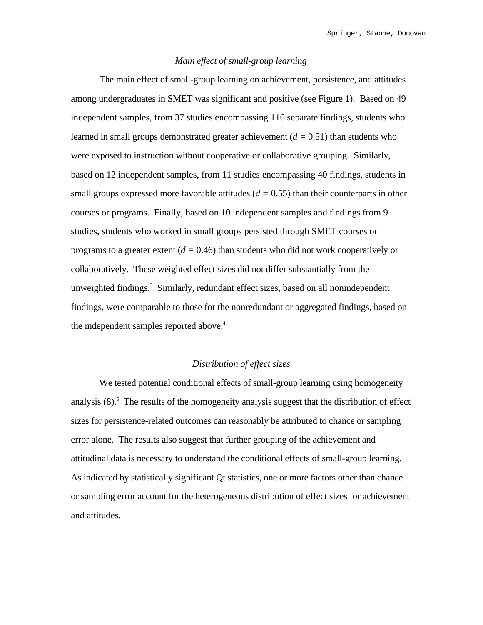### *Main effect of small-group learning*

The main effect of small-group learning on achievement, persistence, and attitudes among undergraduates in SMET was significant and positive (see Figure 1). Based on 49 independent samples, from 37 studies encompassing 116 separate findings, students who learned in small groups demonstrated greater achievement (*d =* 0.51) than students who were exposed to instruction without cooperative or collaborative grouping. Similarly, based on 12 independent samples, from 11 studies encompassing 40 findings, students in small groups expressed more favorable attitudes (*d =* 0.55) than their counterparts in other courses or programs. Finally, based on 10 independent samples and findings from 9 studies, students who worked in small groups persisted through SMET courses or programs to a greater extent (*d =* 0.46) than students who did not work cooperatively or collaboratively. These weighted effect sizes did not differ substantially from the unweighted findings.<sup>3</sup> Similarly, redundant effect sizes, based on all nonindependent findings, were comparable to those for the nonredundant or aggregated findings, based on the independent samples reported above.<sup>4</sup>

# *Distribution of effect sizes*

We tested potential conditional effects of small-group learning using homogeneity analysis  $(8)$ .<sup>5</sup> The results of the homogeneity analysis suggest that the distribution of effect sizes for persistence-related outcomes can reasonably be attributed to chance or sampling error alone. The results also suggest that further grouping of the achievement and attitudinal data is necessary to understand the conditional effects of small-group learning. As indicated by statistically significant Qt statistics, one or more factors other than chance or sampling error account for the heterogeneous distribution of effect sizes for achievement and attitudes.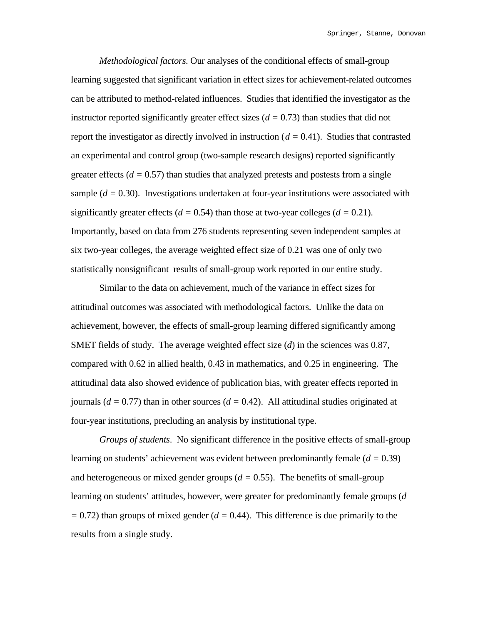*Methodological factors*. Our analyses of the conditional effects of small-group learning suggested that significant variation in effect sizes for achievement-related outcomes can be attributed to method-related influences. Studies that identified the investigator as the instructor reported significantly greater effect sizes  $(d = 0.73)$  than studies that did not report the investigator as directly involved in instruction (*d =* 0.41). Studies that contrasted an experimental and control group (two-sample research designs) reported significantly greater effects  $(d = 0.57)$  than studies that analyzed pretests and postests from a single sample (*d =* 0.30). Investigations undertaken at four-year institutions were associated with significantly greater effects  $(d = 0.54)$  than those at two-year colleges  $(d = 0.21)$ . Importantly, based on data from 276 students representing seven independent samples at six two-year colleges, the average weighted effect size of 0.21 was one of only two statistically nonsignificant results of small-group work reported in our entire study.

Similar to the data on achievement, much of the variance in effect sizes for attitudinal outcomes was associated with methodological factors. Unlike the data on achievement, however, the effects of small-group learning differed significantly among SMET fields of study. The average weighted effect size (*d*) in the sciences was 0.87, compared with 0.62 in allied health, 0.43 in mathematics, and 0.25 in engineering. The attitudinal data also showed evidence of publication bias, with greater effects reported in journals ( $d = 0.77$ ) than in other sources ( $d = 0.42$ ). All attitudinal studies originated at four-year institutions, precluding an analysis by institutional type.

*Groups of students*. No significant difference in the positive effects of small-group learning on students' achievement was evident between predominantly female (*d =* 0.39) and heterogeneous or mixed gender groups  $(d = 0.55)$ . The benefits of small-group learning on students' attitudes, however, were greater for predominantly female groups (*d =* 0.72) than groups of mixed gender (*d =* 0.44). This difference is due primarily to the results from a single study.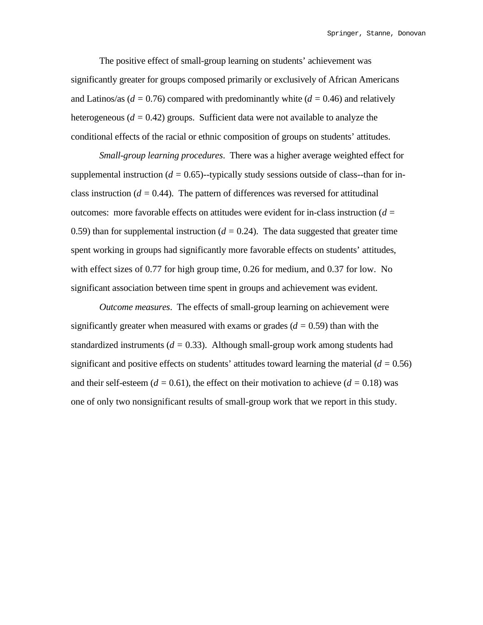The positive effect of small-group learning on students' achievement was significantly greater for groups composed primarily or exclusively of African Americans and Latinos/as ( $d = 0.76$ ) compared with predominantly white ( $d = 0.46$ ) and relatively heterogeneous (*d =* 0.42) groups. Sufficient data were not available to analyze the conditional effects of the racial or ethnic composition of groups on students' attitudes.

*Small-group learning procedures*. There was a higher average weighted effect for supplemental instruction  $(d = 0.65)$ -typically study sessions outside of class--than for inclass instruction  $(d = 0.44)$ . The pattern of differences was reversed for attitudinal outcomes: more favorable effects on attitudes were evident for in-class instruction (*d =* 0.59) than for supplemental instruction  $(d = 0.24)$ . The data suggested that greater time spent working in groups had significantly more favorable effects on students' attitudes, with effect sizes of 0.77 for high group time, 0.26 for medium, and 0.37 for low. No significant association between time spent in groups and achievement was evident.

*Outcome measures*. The effects of small-group learning on achievement were significantly greater when measured with exams or grades (*d =* 0.59) than with the standardized instruments  $(d = 0.33)$ . Although small-group work among students had significant and positive effects on students' attitudes toward learning the material  $(d = 0.56)$ and their self-esteem  $(d = 0.61)$ , the effect on their motivation to achieve  $(d = 0.18)$  was one of only two nonsignificant results of small-group work that we report in this study.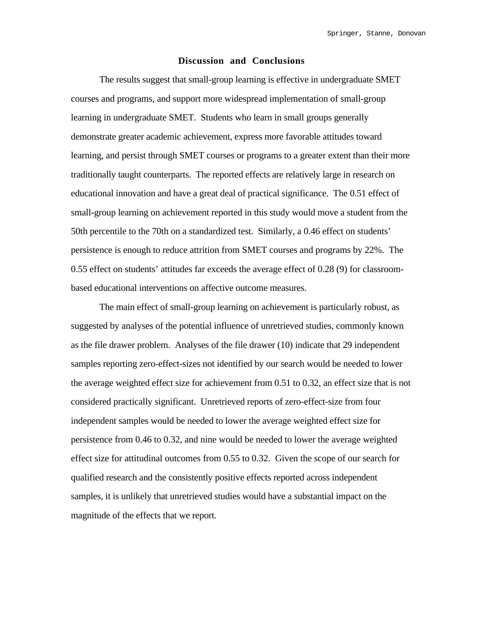#### **Discussion and Conclusions**

The results suggest that small-group learning is effective in undergraduate SMET courses and programs, and support more widespread implementation of small-group learning in undergraduate SMET. Students who learn in small groups generally demonstrate greater academic achievement, express more favorable attitudes toward learning, and persist through SMET courses or programs to a greater extent than their more traditionally taught counterparts. The reported effects are relatively large in research on educational innovation and have a great deal of practical significance. The 0.51 effect of small-group learning on achievement reported in this study would move a student from the 50th percentile to the 70th on a standardized test. Similarly, a 0.46 effect on students' persistence is enough to reduce attrition from SMET courses and programs by 22%. The 0.55 effect on students' attitudes far exceeds the average effect of 0.28 (9) for classroombased educational interventions on affective outcome measures.

The main effect of small-group learning on achievement is particularly robust, as suggested by analyses of the potential influence of unretrieved studies, commonly known as the file drawer problem. Analyses of the file drawer (10) indicate that 29 independent samples reporting zero-effect-sizes not identified by our search would be needed to lower the average weighted effect size for achievement from 0.51 to 0.32, an effect size that is not considered practically significant. Unretrieved reports of zero-effect-size from four independent samples would be needed to lower the average weighted effect size for persistence from 0.46 to 0.32, and nine would be needed to lower the average weighted effect size for attitudinal outcomes from 0.55 to 0.32. Given the scope of our search for qualified research and the consistently positive effects reported across independent samples, it is unlikely that unretrieved studies would have a substantial impact on the magnitude of the effects that we report.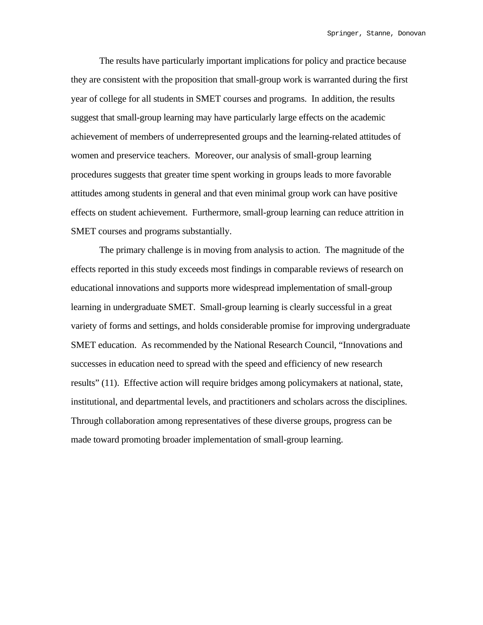The results have particularly important implications for policy and practice because they are consistent with the proposition that small-group work is warranted during the first year of college for all students in SMET courses and programs. In addition, the results suggest that small-group learning may have particularly large effects on the academic achievement of members of underrepresented groups and the learning-related attitudes of women and preservice teachers. Moreover, our analysis of small-group learning procedures suggests that greater time spent working in groups leads to more favorable attitudes among students in general and that even minimal group work can have positive effects on student achievement. Furthermore, small-group learning can reduce attrition in SMET courses and programs substantially.

The primary challenge is in moving from analysis to action. The magnitude of the effects reported in this study exceeds most findings in comparable reviews of research on educational innovations and supports more widespread implementation of small-group learning in undergraduate SMET. Small-group learning is clearly successful in a great variety of forms and settings, and holds considerable promise for improving undergraduate SMET education. As recommended by the National Research Council, "Innovations and successes in education need to spread with the speed and efficiency of new research results" (11). Effective action will require bridges among policymakers at national, state, institutional, and departmental levels, and practitioners and scholars across the disciplines. Through collaboration among representatives of these diverse groups, progress can be made toward promoting broader implementation of small-group learning.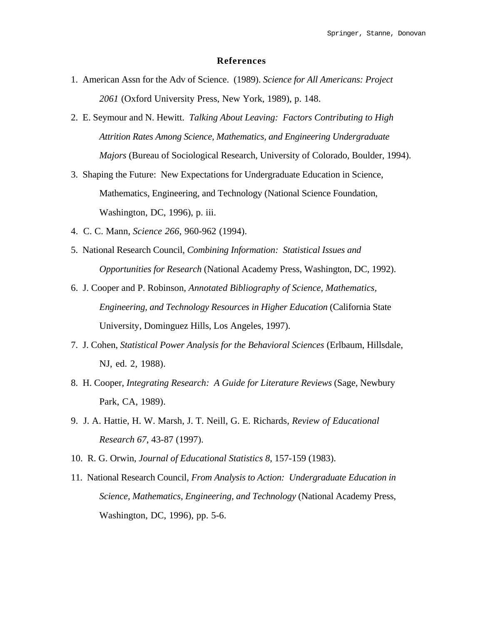#### **References**

- 1. American Assn for the Adv of Science. (1989). *Science for All Americans: Project 2061* (Oxford University Press, New York, 1989), p. 148.
- 2. E. Seymour and N. Hewitt. *Talking About Leaving: Factors Contributing to High Attrition Rates Among Science, Mathematics, and Engineering Undergraduate Majors* (Bureau of Sociological Research, University of Colorado, Boulder, 1994).
- 3. Shaping the Future: New Expectations for Undergraduate Education in Science, Mathematics, Engineering, and Technology (National Science Foundation, Washington, DC, 1996), p. iii.
- 4. C. C. Mann, *Science 266*, 960-962 (1994).
- 5. National Research Council, *Combining Information: Statistical Issues and Opportunities for Research* (National Academy Press, Washington, DC, 1992).
- 6. J. Cooper and P. Robinson, *Annotated Bibliography of Science, Mathematics, Engineering, and Technology Resources in Higher Education* (California State University, Dominguez Hills, Los Angeles, 1997).
- 7. J. Cohen, *Statistical Power Analysis for the Behavioral Sciences* (Erlbaum, Hillsdale, NJ, ed. 2, 1988).
- 8. H. Cooper, *Integrating Research: A Guide for Literature Reviews* (Sage, Newbury Park, CA, 1989).
- 9. J. A. Hattie, H. W. Marsh, J. T. Neill, G. E. Richards, *Review of Educational Research 67*, 43-87 (1997).
- 10. R. G. Orwin, *Journal of Educational Statistics 8*, 157-159 (1983).
- 11. National Research Council, *From Analysis to Action: Undergraduate Education in Science, Mathematics, Engineering, and Technology* (National Academy Press, Washington, DC, 1996), pp. 5-6.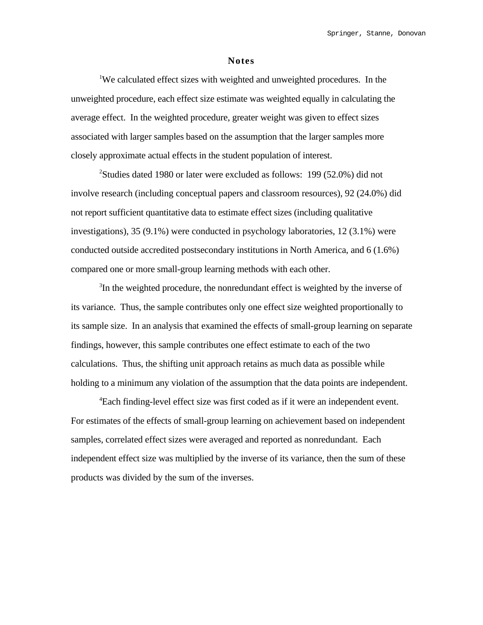#### **Notes**

<sup>1</sup>We calculated effect sizes with weighted and unweighted procedures. In the unweighted procedure, each effect size estimate was weighted equally in calculating the average effect. In the weighted procedure, greater weight was given to effect sizes associated with larger samples based on the assumption that the larger samples more closely approximate actual effects in the student population of interest.

<sup>2</sup>Studies dated 1980 or later were excluded as follows: 199 (52.0%) did not involve research (including conceptual papers and classroom resources), 92 (24.0%) did not report sufficient quantitative data to estimate effect sizes (including qualitative investigations), 35 (9.1%) were conducted in psychology laboratories, 12 (3.1%) were conducted outside accredited postsecondary institutions in North America, and 6 (1.6%) compared one or more small-group learning methods with each other.

<sup>3</sup>In the weighted procedure, the nonredundant effect is weighted by the inverse of its variance. Thus, the sample contributes only one effect size weighted proportionally to its sample size. In an analysis that examined the effects of small-group learning on separate findings, however, this sample contributes one effect estimate to each of the two calculations. Thus, the shifting unit approach retains as much data as possible while holding to a minimum any violation of the assumption that the data points are independent.

4 Each finding-level effect size was first coded as if it were an independent event. For estimates of the effects of small-group learning on achievement based on independent samples, correlated effect sizes were averaged and reported as nonredundant. Each independent effect size was multiplied by the inverse of its variance, then the sum of these products was divided by the sum of the inverses.